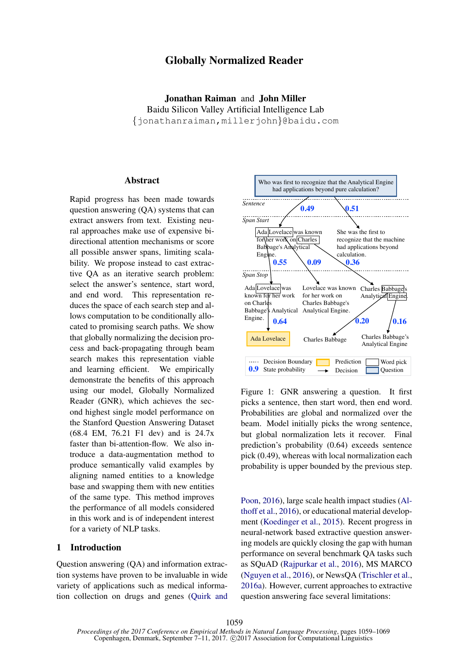# Globally Normalized Reader

Jonathan Raiman and John Miller Baidu Silicon Valley Artificial Intelligence Lab {jonathanraiman,millerjohn}@baidu.com

## Abstract

Rapid progress has been made towards question answering (QA) systems that can extract answers from text. Existing neural approaches make use of expensive bidirectional attention mechanisms or score all possible answer spans, limiting scalability. We propose instead to cast extractive QA as an iterative search problem: select the answer's sentence, start word, and end word. This representation reduces the space of each search step and allows computation to be conditionally allocated to promising search paths. We show that globally normalizing the decision process and back-propagating through beam search makes this representation viable and learning efficient. We empirically demonstrate the benefits of this approach using our model, Globally Normalized Reader (GNR), which achieves the second highest single model performance on the Stanford Question Answering Dataset (68.4 EM, 76.21 F1 dev) and is 24.7x faster than bi-attention-flow. We also introduce a data-augmentation method to produce semantically valid examples by aligning named entities to a knowledge base and swapping them with new entities of the same type. This method improves the performance of all models considered in this work and is of independent interest for a variety of NLP tasks.

## 1 Introduction

Question answering (QA) and information extraction systems have proven to be invaluable in wide variety of applications such as medical information collection on drugs and genes (Quirk and



Figure 1: GNR answering a question. It first picks a sentence, then start word, then end word. Probabilities are global and normalized over the beam. Model initially picks the wrong sentence, but global normalization lets it recover. Final prediction's probability (0.64) exceeds sentence pick (0.49), whereas with local normalization each probability is upper bounded by the previous step.

Poon, 2016), large scale health impact studies (Althoff et al., 2016), or educational material development (Koedinger et al., 2015). Recent progress in neural-network based extractive question answering models are quickly closing the gap with human performance on several benchmark QA tasks such as SQuAD (Rajpurkar et al., 2016), MS MARCO (Nguyen et al., 2016), or NewsQA (Trischler et al., 2016a). However, current approaches to extractive question answering face several limitations: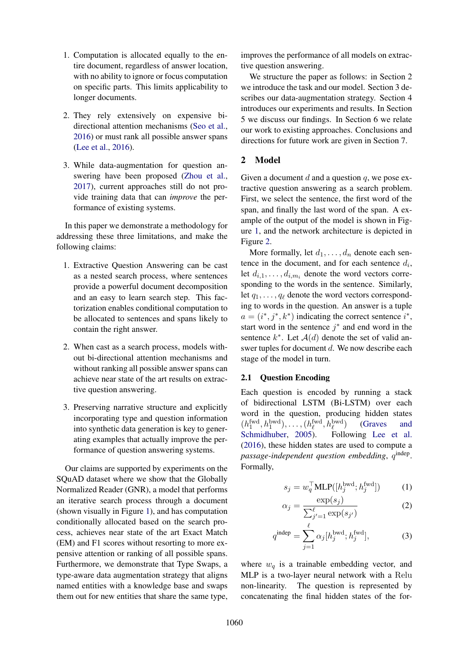- 1. Computation is allocated equally to the entire document, regardless of answer location, with no ability to ignore or focus computation on specific parts. This limits applicability to longer documents.
- 2. They rely extensively on expensive bidirectional attention mechanisms (Seo et al., 2016) or must rank all possible answer spans (Lee et al., 2016).
- 3. While data-augmentation for question answering have been proposed (Zhou et al., 2017), current approaches still do not provide training data that can *improve* the performance of existing systems.

In this paper we demonstrate a methodology for addressing these three limitations, and make the following claims:

- 1. Extractive Question Answering can be cast as a nested search process, where sentences provide a powerful document decomposition and an easy to learn search step. This factorization enables conditional computation to be allocated to sentences and spans likely to contain the right answer.
- 2. When cast as a search process, models without bi-directional attention mechanisms and without ranking all possible answer spans can achieve near state of the art results on extractive question answering.
- 3. Preserving narrative structure and explicitly incorporating type and question information into synthetic data generation is key to generating examples that actually improve the performance of question answering systems.

Our claims are supported by experiments on the SQuAD dataset where we show that the Globally Normalized Reader (GNR), a model that performs an iterative search process through a document (shown visually in Figure 1), and has computation conditionally allocated based on the search process, achieves near state of the art Exact Match (EM) and F1 scores without resorting to more expensive attention or ranking of all possible spans. Furthermore, we demonstrate that Type Swaps, a type-aware data augmentation strategy that aligns named entities with a knowledge base and swaps them out for new entities that share the same type,

improves the performance of all models on extractive question answering.

We structure the paper as follows: in Section 2 we introduce the task and our model. Section 3 describes our data-augmentation strategy. Section 4 introduces our experiments and results. In Section 5 we discuss our findings. In Section 6 we relate our work to existing approaches. Conclusions and directions for future work are given in Section 7.

## 2 Model

Given a document  $d$  and a question  $q$ , we pose extractive question answering as a search problem. First, we select the sentence, the first word of the span, and finally the last word of the span. A example of the output of the model is shown in Figure 1, and the network architecture is depicted in Figure 2.

More formally, let  $d_1, \ldots, d_n$  denote each sentence in the document, and for each sentence  $d_i$ , let  $d_{i,1}, \ldots, d_{i,m_i}$  denote the word vectors corresponding to the words in the sentence. Similarly, let  $q_1, \ldots, q_\ell$  denote the word vectors corresponding to words in the question. An answer is a tuple  $a = (i^*, j^*, k^*)$  indicating the correct sentence  $i^*$ , start word in the sentence  $j^*$  and end word in the sentence  $k^*$ . Let  $\mathcal{A}(d)$  denote the set of valid answer tuples for document d. We now describe each stage of the model in turn.

## 2.1 Question Encoding

Each question is encoded by running a stack of bidirectional LSTM (Bi-LSTM) over each word in the question, producing hidden states  $(h_1^{\text{fwd}}, h_1^{\text{bwd}}), \ldots, (h_\ell^{\text{fwd}}, h_\ell^{\text{bwd}})$ ) (Graves and Schmidhuber, 2005). Following Lee et al. (2016), these hidden states are used to compute a passage-independent question embedding,  $q^{\text{indep}}$ . Formally,

$$
s_j = w_q^{\top} \text{MLP}([h_j^{\text{bwd}}; h_j^{\text{fwd}}])
$$
 (1)

$$
\alpha_j = \frac{\exp(s_j)}{\sum_{j'=1}^{\ell} \exp(s_{j'})}
$$
 (2)

$$
q^{\text{indep}} = \sum_{j=1}^{\ell} \alpha_j [h_j^{\text{bwd}}; h_j^{\text{fwd}}],\tag{3}
$$

where  $w_q$  is a trainable embedding vector, and MLP is a two-layer neural network with a Relu non-linearity. The question is represented by concatenating the final hidden states of the for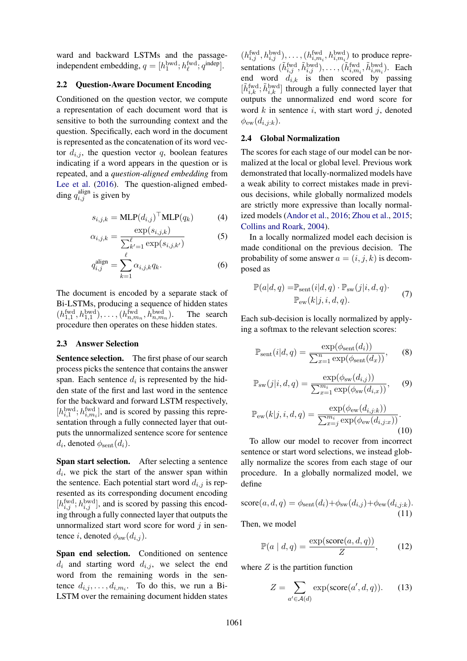ward and backward LSTMs and the passageindependent embedding,  $q = [h_1^{\text{bwd}}; h_{\ell}^{\text{fwd}}; q^{\text{indep}}]$ .

## 2.2 Question-Aware Document Encoding

Conditioned on the question vector, we compute a representation of each document word that is sensitive to both the surrounding context and the question. Specifically, each word in the document is represented as the concatenation of its word vector  $d_{i,j}$ , the question vector q, boolean features indicating if a word appears in the question or is repeated, and a *question-aligned embedding* from Lee et al. (2016). The question-aligned embedding  $q_{i,j}^{\text{align}}$  is given by

$$
s_{i,j,k} = \text{MLP}(d_{i,j})^\top \text{MLP}(q_k)
$$
 (4)

$$
\alpha_{i,j,k} = \frac{\exp(s_{i,j,k})}{\sum_{k'=1}^{\ell} \exp(s_{i,j,k'})}
$$
(5)

$$
q_{i,j}^{\text{align}} = \sum_{k=1}^{\ell} \alpha_{i,j,k} q_k.
$$
 (6)

The document is encoded by a separate stack of Bi-LSTMs, producing a sequence of hidden states  $(h_{1,1}^{\text{fwd}}, h_{1,1}^{\text{bwd}}), \ldots, (h_{n,m_n}^{\text{fwd}}, h_{n,m_n}^{\text{bwd}})$ ). The search procedure then operates on these hidden states.

## 2.3 Answer Selection

Sentence selection. The first phase of our search process picks the sentence that contains the answer span. Each sentence  $d_i$  is represented by the hidden state of the first and last word in the sentence for the backward and forward LSTM respectively,  $[h_{i,1}^{bwd}; h_{i,m_i}^{fwd}]$ , and is scored by passing this representation through a fully connected layer that outputs the unnormalized sentence score for sentence  $d_i$ , denoted  $\phi_{\text{sent}}(d_i)$ .

Span start selection. After selecting a sentence  $d_i$ , we pick the start of the answer span within the sentence. Each potential start word  $d_{i,j}$  is represented as its corresponding document encoding  $[h_{i,j}^{\text{fwd}}; h_{i,j}^{\text{bwd}}]$ , and is scored by passing this encoding through a fully connected layer that outputs the unnormalized start word score for word  $j$  in sentence i, denoted  $\phi_{sw}(d_{i,j})$ .

Span end selection. Conditioned on sentence  $d_i$  and starting word  $d_{i,j}$ , we select the end word from the remaining words in the sentence  $d_{i,j}, \ldots, d_{i,m_i}$ . To do this, we run a Bi-LSTM over the remaining document hidden states

 $(h_{i,j}^{\text{fwd}}, h_{i,j}^{\text{bwd}}), \dots, (h_{i,m_i}^{\text{fwd}}, h_{i,m_i}^{\text{bwd}})$  to produce representations  $(\tilde{h}^{\text{fwd}}_{i,j}, \tilde{h}^{\text{bwd}}_{i,j}), \ldots, (\tilde{h}^{\text{fwd}}_{i,m_i}, \tilde{h}^{\text{bwd}}_{i,m_i}).$  Each end word  $d_{i,k}$  is then scored by passing  $[\tilde{h}_{i,k}^{\text{fwd}}; \tilde{h}_{i,k}^{\text{bwd}}]$  through a fully connected layer that outputs the unnormalized end word score for word  $k$  in sentence  $i$ , with start word  $j$ , denoted  $\phi_{ew}(d_{i,j:k}).$ 

### 2.4 Global Normalization

The scores for each stage of our model can be normalized at the local or global level. Previous work demonstrated that locally-normalized models have a weak ability to correct mistakes made in previous decisions, while globally normalized models are strictly more expressive than locally normalized models (Andor et al., 2016; Zhou et al., 2015; Collins and Roark, 2004).

In a locally normalized model each decision is made conditional on the previous decision. The probability of some answer  $a = (i, j, k)$  is decomposed as

$$
\mathbb{P}(a|d,q) = \mathbb{P}_{\text{sent}}(i|d,q) \cdot \mathbb{P}_{\text{sw}}(j|i,d,q). \tag{7}
$$

$$
\mathbb{P}_{\text{ew}}(k|j,i,d,q).
$$

Each sub-decision is locally normalized by applying a softmax to the relevant selection scores:

$$
\mathbb{P}_{\text{sent}}(i|d,q) = \frac{\exp(\phi_{\text{sent}}(d_i))}{\sum_{x=1}^n \exp(\phi_{\text{sent}}(d_x))},\qquad(8)
$$

$$
\mathbb{P}_{sw}(j|i,d,q) = \frac{\exp(\phi_{sw}(d_{i,j}))}{\sum_{x=1}^{m_i} \exp(\phi_{sw}(d_{i,x}))},\qquad(9)
$$

$$
\mathbb{P}_{\text{ew}}(k|j, i, d, q) = \frac{\exp(\phi_{\text{ew}}(d_{i,j:k}))}{\sum_{x=j}^{m_i} \exp(\phi_{\text{ew}}(d_{i,j:x}))}.
$$
\n(10)

To allow our model to recover from incorrect sentence or start word selections, we instead globally normalize the scores from each stage of our procedure. In a globally normalized model, we define

$$
score(a, d, q) = \phi_{sent}(d_i) + \phi_{sw}(d_{i,j}) + \phi_{ew}(d_{i,j:k}).
$$
\n(11)

Then, we model

$$
\mathbb{P}(a \mid d, q) = \frac{\exp(\text{score}(a, d, q))}{Z},\tag{12}
$$

where  $Z$  is the partition function

$$
Z = \sum_{a' \in \mathcal{A}(d)} \exp(\text{score}(a', d, q)). \tag{13}
$$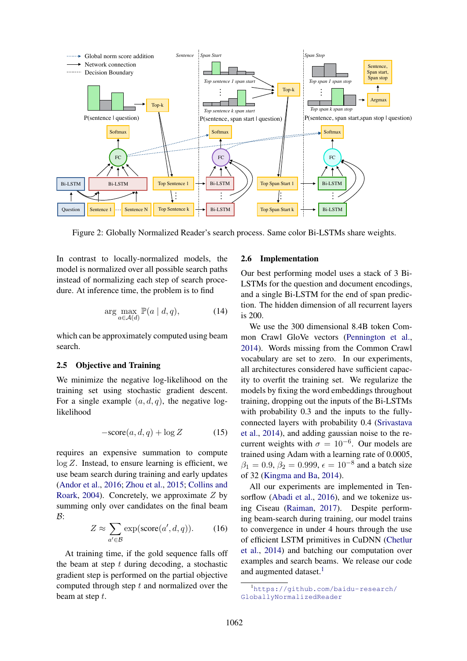

Figure 2: Globally Normalized Reader's search process. Same color Bi-LSTMs share weights.

In contrast to locally-normalized models, the model is normalized over all possible search paths instead of normalizing each step of search procedure. At inference time, the problem is to find

$$
\arg\max_{a \in \mathcal{A}(d)} \mathbb{P}(a \mid d, q), \tag{14}
$$

which can be approximately computed using beam search.

## 2.5 Objective and Training

We minimize the negative log-likelihood on the training set using stochastic gradient descent. For a single example  $(a, d, q)$ , the negative loglikelihood

$$
-\text{score}(a, d, q) + \log Z \tag{15}
$$

requires an expensive summation to compute  $log Z$ . Instead, to ensure learning is efficient, we use beam search during training and early updates (Andor et al., 2016; Zhou et al., 2015; Collins and Roark, 2004). Concretely, we approximate Z by summing only over candidates on the final beam  $B$ :

$$
Z \approx \sum_{a' \in \mathcal{B}} \exp(\text{score}(a', d, q)). \tag{16}
$$

At training time, if the gold sequence falls off the beam at step  $t$  during decoding, a stochastic gradient step is performed on the partial objective computed through step  $t$  and normalized over the beam at step t.

#### 2.6 Implementation

Our best performing model uses a stack of 3 Bi-LSTMs for the question and document encodings, and a single Bi-LSTM for the end of span prediction. The hidden dimension of all recurrent layers is 200.

We use the 300 dimensional 8.4B token Common Crawl GloVe vectors (Pennington et al., 2014). Words missing from the Common Crawl vocabulary are set to zero. In our experiments, all architectures considered have sufficient capacity to overfit the training set. We regularize the models by fixing the word embeddings throughout training, dropping out the inputs of the Bi-LSTMs with probability 0.3 and the inputs to the fullyconnected layers with probability 0.4 (Srivastava et al., 2014), and adding gaussian noise to the recurrent weights with  $\sigma = 10^{-6}$ . Our models are trained using Adam with a learning rate of 0.0005,  $\beta_1 = 0.9, \beta_2 = 0.999, \epsilon = 10^{-8}$  and a batch size of 32 (Kingma and Ba, 2014).

All our experiments are implemented in Tensorflow (Abadi et al., 2016), and we tokenize using Ciseau (Raiman, 2017). Despite performing beam-search during training, our model trains to convergence in under 4 hours through the use of efficient LSTM primitives in CuDNN (Chetlur et al., 2014) and batching our computation over examples and search beams. We release our code and augmented dataset.<sup>1</sup>

<sup>1</sup>https://github.com/baidu-research/ GloballyNormalizedReader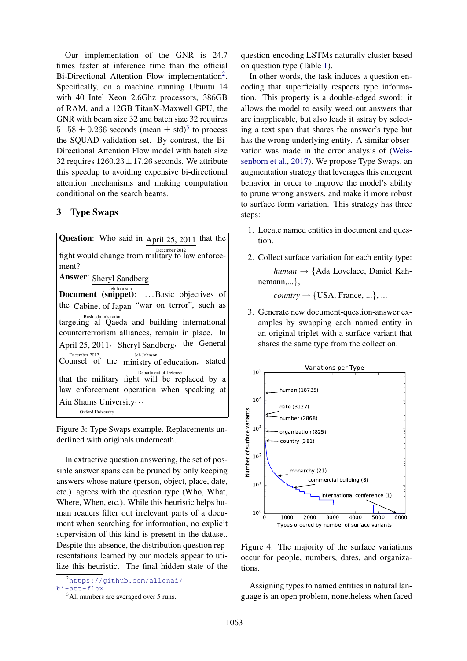Our implementation of the GNR is 24.7 times faster at inference time than the official Bi-Directional Attention Flow implementation<sup>2</sup>. Specifically, on a machine running Ubuntu 14 with 40 Intel Xeon 2.6Ghz processors, 386GB of RAM, and a 12GB TitanX-Maxwell GPU, the GNR with beam size 32 and batch size 32 requires  $51.58 \pm 0.266$  seconds (mean  $\pm$  std)<sup>3</sup> to process the SQUAD validation set. By contrast, the Bi-Directional Attention Flow model with batch size 32 requires  $1260.23 \pm 17.26$  seconds. We attribute this speedup to avoiding expensive bi-directional attention mechanisms and making computation conditional on the search beams.

## 3 Type Swaps

Question: Who said in April 25, 2011 that the December 2012 fight would change from military to law enforcement? Answer: Sheryl Sandberg Document (snippet): ...Basic objectives of the Cabinet of Japan "war on terror", such as Bush administration targeting al Qaeda and building international counterterrorism alliances, remain in place. In April 25, 2011  $\overline{\text{Counter}}^{\text{December 2012}}$  of the Sheryl Sandberg, Jeh Johnson the General ministry of education, Department of Defense , stated that the military fight will be replaced by a law enforcement operation when speaking at Ain Shams University... Oxford University

Figure 3: Type Swaps example. Replacements underlined with originals underneath.

In extractive question answering, the set of possible answer spans can be pruned by only keeping answers whose nature (person, object, place, date, etc.) agrees with the question type (Who, What, Where, When, etc.). While this heuristic helps human readers filter out irrelevant parts of a document when searching for information, no explicit supervision of this kind is present in the dataset. Despite this absence, the distribution question representations learned by our models appear to utilize this heuristic. The final hidden state of the question-encoding LSTMs naturally cluster based on question type (Table 1).

In other words, the task induces a question encoding that superficially respects type information. This property is a double-edged sword: it allows the model to easily weed out answers that are inapplicable, but also leads it astray by selecting a text span that shares the answer's type but has the wrong underlying entity. A similar observation was made in the error analysis of (Weissenborn et al., 2017). We propose Type Swaps, an augmentation strategy that leverages this emergent behavior in order to improve the model's ability to prune wrong answers, and make it more robust to surface form variation. This strategy has three steps:

- 1. Locate named entities in document and question.
- 2. Collect surface variation for each entity type: *human* → {Ada Lovelace, Daniel Kahnemann,...},

 $country \rightarrow \{USA, France, ...\}$ , ...

3. Generate new document-question-answer examples by swapping each named entity in an original triplet with a surface variant that shares the same type from the collection.



Figure 4: The majority of the surface variations occur for people, numbers, dates, and organizations.

Assigning types to named entities in natural language is an open problem, nonetheless when faced

<sup>2</sup>https://github.com/allenai/ bi-att-flow

<sup>&</sup>lt;sup>3</sup>All numbers are averaged over 5 runs.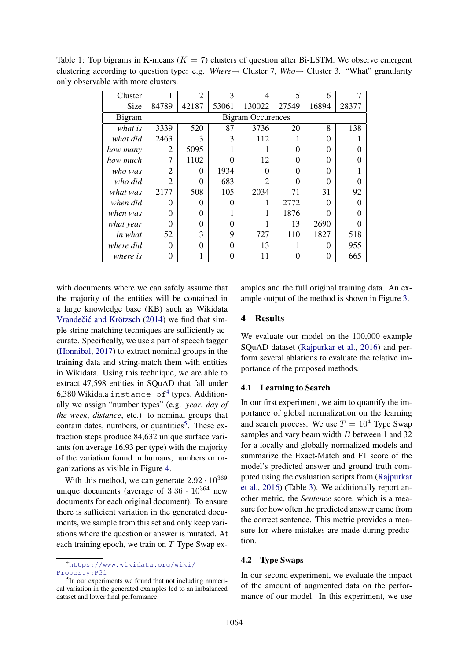| Cluster       |                          | $\overline{2}$ | 3     | 4                           | 5     | 6     |       |
|---------------|--------------------------|----------------|-------|-----------------------------|-------|-------|-------|
| Size          | 84789                    | 42187          | 53061 | 130022                      | 27549 | 16894 | 28377 |
| <b>Bigram</b> | <b>Bigram Occurences</b> |                |       |                             |       |       |       |
| what is       | 3339                     | 520            | 87    | 3736                        | 20    | 8     | 138   |
| what did      | 2463                     | 3              | 3     | 112                         |       | 0     |       |
| how many      | $\overline{2}$           | 5095           |       |                             | 0     | ∩     |       |
| how much      | 7                        | 1102           | Ω     | 12                          | 0     | 0     |       |
| who was       | $\overline{2}$           | 0              | 1934  | $\Omega$                    | Ω     | 0     |       |
| who did       | $\mathfrak{D}$           | 0              | 683   | $\mathcal{D}_{\mathcal{L}}$ | Ω     | ∩     |       |
| what was      | 2177                     | 508            | 105   | 2034                        | 71    | 31    | 92    |
| when did      | 0                        | 0              | 0     | 1                           | 2772  | 0     | 0     |
| when was      | 0                        | 0              |       |                             | 1876  | Ω     | 0     |
| what year     | 0                        | 0              | 0     |                             | 13    | 2690  |       |
| in what       | 52                       | 3              | 9     | 727                         | 110   | 1827  | 518   |
| where did     | 0                        | 0              | 0     | 13                          |       | 0     | 955   |
| where is      | 0                        |                | 0     | 11                          |       | 0     | 665   |
|               |                          |                |       |                             |       |       |       |

Table 1: Top bigrams in K-means  $(K = 7)$  clusters of question after Bi-LSTM. We observe emergent clustering according to question type: e.g. *Where*→ Cluster 7, *Who*→ Cluster 3. "What" granularity only observable with more clusters.

with documents where we can safely assume that the majority of the entities will be contained in a large knowledge base (KB) such as Wikidata Vrandečić and Krötzsch (2014) we find that simple string matching techniques are sufficiently accurate. Specifically, we use a part of speech tagger (Honnibal, 2017) to extract nominal groups in the training data and string-match them with entities in Wikidata. Using this technique, we are able to extract 47,598 entities in SQuAD that fall under 6,380 Wikidata instance of <sup>4</sup> types. Additionally we assign "number types" (e.g. *year*, *day of the week*, *distance*, etc.) to nominal groups that contain dates, numbers, or quantities<sup>5</sup>. These extraction steps produce 84,632 unique surface variants (on average 16.93 per type) with the majority of the variation found in humans, numbers or organizations as visible in Figure 4.

With this method, we can generate  $2.92 \cdot 10^{369}$ unique documents (average of  $3.36 \cdot 10^{364}$  new documents for each original document). To ensure there is sufficient variation in the generated documents, we sample from this set and only keep variations where the question or answer is mutated. At each training epoch, we train on  $T$  Type Swap ex-

<sup>4</sup>https://www.wikidata.org/wiki/ Property:P31

<sup>5</sup>In our experiments we found that not including numerical variation in the generated examples led to an imbalanced dataset and lower final performance.

amples and the full original training data. An example output of the method is shown in Figure 3.

## 4 Results

We evaluate our model on the 100,000 example SQuAD dataset (Rajpurkar et al., 2016) and perform several ablations to evaluate the relative importance of the proposed methods.

#### 4.1 Learning to Search

In our first experiment, we aim to quantify the importance of global normalization on the learning and search process. We use  $T = 10^4$  Type Swap samples and vary beam width  $B$  between 1 and 32 for a locally and globally normalized models and summarize the Exact-Match and F1 score of the model's predicted answer and ground truth computed using the evaluation scripts from (Rajpurkar et al., 2016) (Table 3). We additionally report another metric, the *Sentence* score, which is a measure for how often the predicted answer came from the correct sentence. This metric provides a measure for where mistakes are made during prediction.

#### 4.2 Type Swaps

In our second experiment, we evaluate the impact of the amount of augmented data on the performance of our model. In this experiment, we use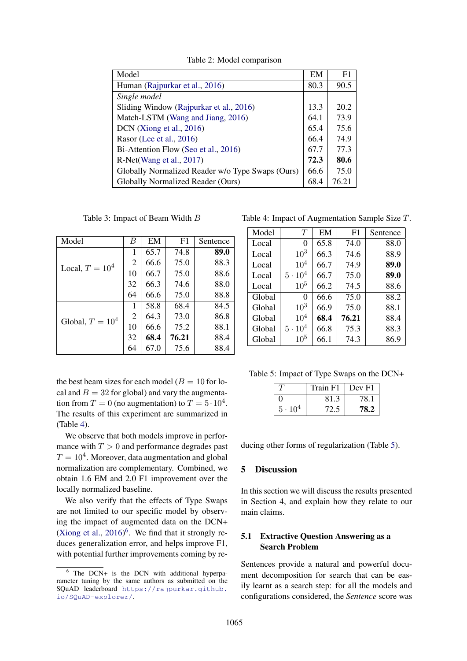| Model                                            | EM   | F1    |
|--------------------------------------------------|------|-------|
| Human (Rajpurkar et al., 2016)                   | 80.3 | 90.5  |
| Single model                                     |      |       |
| Sliding Window (Rajpurkar et al., 2016)          | 13.3 | 20.2  |
| Match-LSTM (Wang and Jiang, 2016)                | 64.1 | 73.9  |
| DCN (Xiong et al., 2016)                         | 65.4 | 75.6  |
| Rasor (Lee et al., 2016)                         | 66.4 | 74.9  |
| Bi-Attention Flow (Seo et al., 2016)             | 67.7 | 77.3  |
| R-Net(Wang et al., 2017)                         | 72.3 | 80.6  |
| Globally Normalized Reader w/o Type Swaps (Ours) | 66.6 | 75.0  |
| Globally Normalized Reader (Ours)                | 68.4 | 76.21 |

Table 2: Model comparison

Table 3: Impact of Beam Width B

| Model             | B              | EM   | F1    | Sentence |
|-------------------|----------------|------|-------|----------|
|                   | 1              | 65.7 | 74.8  | 89.0     |
| Local, $T = 104$  | 2              | 66.6 | 75.0  | 88.3     |
|                   | 10             | 66.7 | 75.0  | 88.6     |
|                   | 32             | 66.3 | 74.6  | 88.0     |
|                   | 64             | 66.6 | 75.0  | 88.8     |
|                   | 1              | 58.8 | 68.4  | 84.5     |
| Global, $T = 104$ | $\overline{2}$ | 64.3 | 73.0  | 86.8     |
|                   | 10             | 66.6 | 75.2  | 88.1     |
|                   | 32             | 68.4 | 76.21 | 88.4     |
|                   | 64             | 67.0 | 75.6  | 88.4     |

the best beam sizes for each model ( $B = 10$  for local and  $B = 32$  for global) and vary the augmentation from  $T = 0$  (no augmentation) to  $T = 5 \cdot 10^4$ . The results of this experiment are summarized in (Table 4).

We observe that both models improve in performance with  $T > 0$  and performance degrades past  $T = 10^4$ . Moreover, data augmentation and global normalization are complementary. Combined, we obtain 1.6 EM and 2.0 F1 improvement over the locally normalized baseline.

We also verify that the effects of Type Swaps are not limited to our specific model by observing the impact of augmented data on the DCN+ (Xiong et al.,  $2016$ <sup>6</sup>. We find that it strongly reduces generalization error, and helps improve F1, with potential further improvements coming by re-

Table 4: Impact of Augmentation Sample Size T.

| Model  | T               | EM   | F <sub>1</sub> | Sentence |
|--------|-----------------|------|----------------|----------|
| Local  | 0               | 65.8 | 74.0           | 88.0     |
| Local  | 10 <sup>3</sup> | 66.3 | 74.6           | 88.9     |
| Local  | 10 <sup>4</sup> | 66.7 | 74.9           | 89.0     |
| Local  | $5 \cdot 10^4$  | 66.7 | 75.0           | 89.0     |
| Local  | $10^{5}$        | 66.2 | 74.5           | 88.6     |
| Global | $\Omega$        | 66.6 | 75.0           | 88.2     |
| Global | 10 <sup>3</sup> | 66.9 | 75.0           | 88.1     |
| Global | $10^{4}$        | 68.4 | 76.21          | 88.4     |
| Global | $5 \cdot 10^4$  | 66.8 | 75.3           | 88.3     |
| Global | 10 <sup>5</sup> | 66.1 | 74.3           | 86.9     |

Table 5: Impact of Type Swaps on the DCN+

|                | Train F1 | $ $ Dev F1 |
|----------------|----------|------------|
|                | 81.3     | 78.1       |
| $5 \cdot 10^4$ |          | 78.2       |

ducing other forms of regularization (Table 5).

## 5 Discussion

In this section we will discuss the results presented in Section 4, and explain how they relate to our main claims.

## 5.1 Extractive Question Answering as a Search Problem

Sentences provide a natural and powerful document decomposition for search that can be easily learnt as a search step: for all the models and configurations considered, the *Sentence* score was

<sup>&</sup>lt;sup>6</sup> The DCN+ is the DCN with additional hyperparameter tuning by the same authors as submitted on the SQuAD leaderboard https://rajpurkar.github. io/SQuAD-explorer/.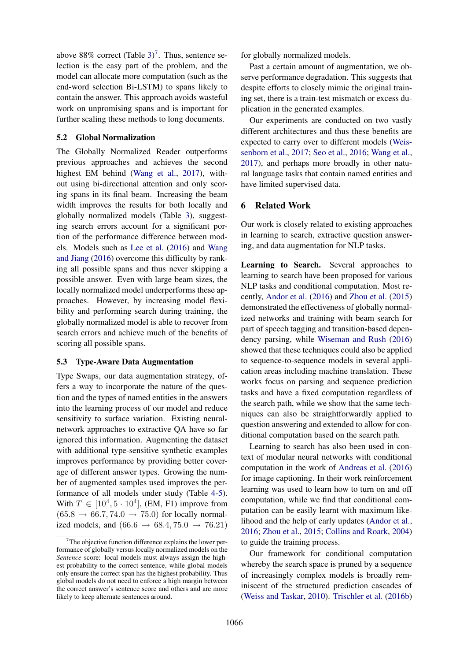above 88% correct (Table 3)<sup>7</sup>. Thus, sentence selection is the easy part of the problem, and the model can allocate more computation (such as the end-word selection Bi-LSTM) to spans likely to contain the answer. This approach avoids wasteful work on unpromising spans and is important for further scaling these methods to long documents.

### 5.2 Global Normalization

The Globally Normalized Reader outperforms previous approaches and achieves the second highest EM behind (Wang et al., 2017), without using bi-directional attention and only scoring spans in its final beam. Increasing the beam width improves the results for both locally and globally normalized models (Table 3), suggesting search errors account for a significant portion of the performance difference between models. Models such as Lee et al. (2016) and Wang and Jiang (2016) overcome this difficulty by ranking all possible spans and thus never skipping a possible answer. Even with large beam sizes, the locally normalized model underperforms these approaches. However, by increasing model flexibility and performing search during training, the globally normalized model is able to recover from search errors and achieve much of the benefits of scoring all possible spans.

## 5.3 Type-Aware Data Augmentation

Type Swaps, our data augmentation strategy, offers a way to incorporate the nature of the question and the types of named entities in the answers into the learning process of our model and reduce sensitivity to surface variation. Existing neuralnetwork approaches to extractive QA have so far ignored this information. Augmenting the dataset with additional type-sensitive synthetic examples improves performance by providing better coverage of different answer types. Growing the number of augmented samples used improves the performance of all models under study (Table 4-5). With  $T \in [10^4, 5 \cdot 10^4]$ , (EM, F1) improve from  $(65.8 \rightarrow 66.7, 74.0 \rightarrow 75.0)$  for locally normalized models, and  $(66.6 \rightarrow 68.4, 75.0 \rightarrow 76.21)$  for globally normalized models.

Past a certain amount of augmentation, we observe performance degradation. This suggests that despite efforts to closely mimic the original training set, there is a train-test mismatch or excess duplication in the generated examples.

Our experiments are conducted on two vastly different architectures and thus these benefits are expected to carry over to different models (Weissenborn et al., 2017; Seo et al., 2016; Wang et al., 2017), and perhaps more broadly in other natural language tasks that contain named entities and have limited supervised data.

## 6 Related Work

Our work is closely related to existing approaches in learning to search, extractive question answering, and data augmentation for NLP tasks.

Learning to Search. Several approaches to learning to search have been proposed for various NLP tasks and conditional computation. Most recently, Andor et al. (2016) and Zhou et al. (2015) demonstrated the effectiveness of globally normalized networks and training with beam search for part of speech tagging and transition-based dependency parsing, while Wiseman and Rush (2016) showed that these techniques could also be applied to sequence-to-sequence models in several application areas including machine translation. These works focus on parsing and sequence prediction tasks and have a fixed computation regardless of the search path, while we show that the same techniques can also be straightforwardly applied to question answering and extended to allow for conditional computation based on the search path.

Learning to search has also been used in context of modular neural networks with conditional computation in the work of Andreas et al. (2016) for image captioning. In their work reinforcement learning was used to learn how to turn on and off computation, while we find that conditional computation can be easily learnt with maximum likelihood and the help of early updates (Andor et al., 2016; Zhou et al., 2015; Collins and Roark, 2004) to guide the training process.

Our framework for conditional computation whereby the search space is pruned by a sequence of increasingly complex models is broadly reminiscent of the structured prediction cascades of (Weiss and Taskar, 2010). Trischler et al. (2016b)

 $7$ The objective function difference explains the lower performance of globally versus locally normalized models on the *Sentence* score: local models must always assign the highest probability to the correct sentence, while global models only ensure the correct span has the highest probability. Thus global models do not need to enforce a high margin between the correct answer's sentence score and others and are more likely to keep alternate sentences around.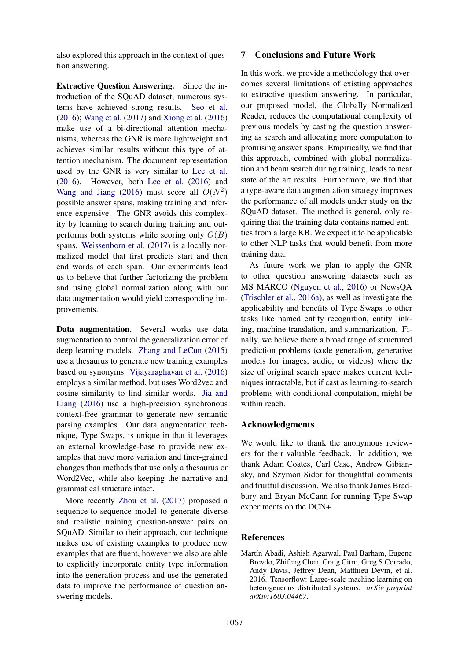also explored this approach in the context of question answering.

Extractive Question Answering. Since the introduction of the SQuAD dataset, numerous systems have achieved strong results. Seo et al. (2016); Wang et al. (2017) and Xiong et al. (2016) make use of a bi-directional attention mechanisms, whereas the GNR is more lightweight and achieves similar results without this type of attention mechanism. The document representation used by the GNR is very similar to Lee et al. (2016). However, both Lee et al. (2016) and Wang and Jiang (2016) must score all  $O(N^2)$ possible answer spans, making training and inference expensive. The GNR avoids this complexity by learning to search during training and outperforms both systems while scoring only  $O(B)$ spans. Weissenborn et al. (2017) is a locally normalized model that first predicts start and then end words of each span. Our experiments lead us to believe that further factorizing the problem and using global normalization along with our data augmentation would yield corresponding improvements.

Data augmentation. Several works use data augmentation to control the generalization error of deep learning models. Zhang and LeCun (2015) use a thesaurus to generate new training examples based on synonyms. Vijayaraghavan et al. (2016) employs a similar method, but uses Word2vec and cosine similarity to find similar words. Jia and Liang (2016) use a high-precision synchronous context-free grammar to generate new semantic parsing examples. Our data augmentation technique, Type Swaps, is unique in that it leverages an external knowledge-base to provide new examples that have more variation and finer-grained changes than methods that use only a thesaurus or Word2Vec, while also keeping the narrative and grammatical structure intact.

More recently Zhou et al. (2017) proposed a sequence-to-sequence model to generate diverse and realistic training question-answer pairs on SQuAD. Similar to their approach, our technique makes use of existing examples to produce new examples that are fluent, however we also are able to explicitly incorporate entity type information into the generation process and use the generated data to improve the performance of question answering models.

## 7 Conclusions and Future Work

In this work, we provide a methodology that overcomes several limitations of existing approaches to extractive question answering. In particular, our proposed model, the Globally Normalized Reader, reduces the computational complexity of previous models by casting the question answering as search and allocating more computation to promising answer spans. Empirically, we find that this approach, combined with global normalization and beam search during training, leads to near state of the art results. Furthermore, we find that a type-aware data augmentation strategy improves the performance of all models under study on the SQuAD dataset. The method is general, only requiring that the training data contains named entities from a large KB. We expect it to be applicable to other NLP tasks that would benefit from more training data.

As future work we plan to apply the GNR to other question answering datasets such as MS MARCO (Nguyen et al., 2016) or NewsQA (Trischler et al., 2016a), as well as investigate the applicability and benefits of Type Swaps to other tasks like named entity recognition, entity linking, machine translation, and summarization. Finally, we believe there a broad range of structured prediction problems (code generation, generative models for images, audio, or videos) where the size of original search space makes current techniques intractable, but if cast as learning-to-search problems with conditional computation, might be within reach.

## Acknowledgments

We would like to thank the anonymous reviewers for their valuable feedback. In addition, we thank Adam Coates, Carl Case, Andrew Gibiansky, and Szymon Sidor for thoughtful comments and fruitful discussion. We also thank James Bradbury and Bryan McCann for running Type Swap experiments on the DCN+.

## **References**

Martín Abadi, Ashish Agarwal, Paul Barham, Eugene Brevdo, Zhifeng Chen, Craig Citro, Greg S Corrado, Andy Davis, Jeffrey Dean, Matthieu Devin, et al. 2016. Tensorflow: Large-scale machine learning on heterogeneous distributed systems. *arXiv preprint arXiv:1603.04467*.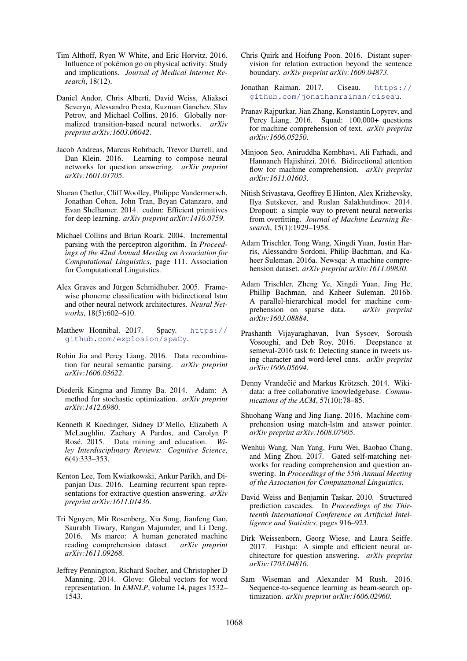- Tim Althoff, Ryen W White, and Eric Horvitz. 2016. Influence of pokemon go on physical activity: Study ´ and implications. *Journal of Medical Internet Research*, 18(12).
- Daniel Andor, Chris Alberti, David Weiss, Aliaksei Severyn, Alessandro Presta, Kuzman Ganchev, Slav Petrov, and Michael Collins. 2016. Globally normalized transition-based neural networks. *arXiv preprint arXiv:1603.06042*.
- Jacob Andreas, Marcus Rohrbach, Trevor Darrell, and Dan Klein. 2016. Learning to compose neural networks for question answering. *arXiv preprint arXiv:1601.01705*.
- Sharan Chetlur, Cliff Woolley, Philippe Vandermersch, Jonathan Cohen, John Tran, Bryan Catanzaro, and Evan Shelhamer. 2014. cudnn: Efficient primitives for deep learning. *arXiv preprint arXiv:1410.0759*.
- Michael Collins and Brian Roark. 2004. Incremental parsing with the perceptron algorithm. In *Proceedings of the 42nd Annual Meeting on Association for Computational Linguistics*, page 111. Association for Computational Linguistics.
- Alex Graves and Jürgen Schmidhuber. 2005. Framewise phoneme classification with bidirectional lstm and other neural network architectures. *Neural Networks*, 18(5):602–610.
- Matthew Honnibal. 2017. Spacy. https:// github.com/explosion/spaCy.
- Robin Jia and Percy Liang. 2016. Data recombination for neural semantic parsing. *arXiv preprint arXiv:1606.03622*.
- Diederik Kingma and Jimmy Ba. 2014. Adam: A method for stochastic optimization. *arXiv preprint arXiv:1412.6980*.
- Kenneth R Koedinger, Sidney D'Mello, Elizabeth A McLaughlin, Zachary A Pardos, and Carolyn P Rosé. 2015. Data mining and education. *Wiley Interdisciplinary Reviews: Cognitive Science*, 6(4):333–353.
- Kenton Lee, Tom Kwiatkowski, Ankur Parikh, and Dipanjan Das. 2016. Learning recurrent span representations for extractive question answering. *arXiv preprint arXiv:1611.01436*.
- Tri Nguyen, Mir Rosenberg, Xia Song, Jianfeng Gao, Saurabh Tiwary, Rangan Majumder, and Li Deng. 2016. Ms marco: A human generated machine reading comprehension dataset. *arXiv preprint arXiv:1611.09268*.
- Jeffrey Pennington, Richard Socher, and Christopher D Manning. 2014. Glove: Global vectors for word representation. In *EMNLP*, volume 14, pages 1532– 1543.
- Chris Quirk and Hoifung Poon. 2016. Distant supervision for relation extraction beyond the sentence boundary. *arXiv preprint arXiv:1609.04873*.
- Jonathan Raiman. 2017. Ciseau. https:// github.com/jonathanraiman/ciseau.
- Pranav Rajpurkar, Jian Zhang, Konstantin Lopyrev, and Percy Liang. 2016. Squad: 100,000+ questions for machine comprehension of text. *arXiv preprint arXiv:1606.05250*.
- Minjoon Seo, Aniruddha Kembhavi, Ali Farhadi, and Hannaneh Hajishirzi. 2016. Bidirectional attention flow for machine comprehension. *arXiv preprint arXiv:1611.01603*.
- Nitish Srivastava, Geoffrey E Hinton, Alex Krizhevsky, Ilya Sutskever, and Ruslan Salakhutdinov. 2014. Dropout: a simple way to prevent neural networks from overfitting. *Journal of Machine Learning Research*, 15(1):1929–1958.
- Adam Trischler, Tong Wang, Xingdi Yuan, Justin Harris, Alessandro Sordoni, Philip Bachman, and Kaheer Suleman. 2016a. Newsqa: A machine comprehension dataset. *arXiv preprint arXiv:1611.09830*.
- Adam Trischler, Zheng Ye, Xingdi Yuan, Jing He, Phillip Bachman, and Kaheer Suleman. 2016b. A parallel-hierarchical model for machine comprehension on sparse data. *arXiv preprint arXiv:1603.08884*.
- Prashanth Vijayaraghavan, Ivan Sysoev, Soroush Vosoughi, and Deb Roy. 2016. Deepstance at semeval-2016 task 6: Detecting stance in tweets using character and word-level cnns. *arXiv preprint arXiv:1606.05694*.
- Denny Vrandečić and Markus Krötzsch. 2014. Wikidata: a free collaborative knowledgebase. *Communications of the ACM*, 57(10):78–85.
- Shuohang Wang and Jing Jiang. 2016. Machine comprehension using match-lstm and answer pointer. *arXiv preprint arXiv:1608.07905*.
- Wenhui Wang, Nan Yang, Furu Wei, Baobao Chang, and Ming Zhou. 2017. Gated self-matching networks for reading comprehension and question answering. In *Proceedings of the 55th Annual Meeting of the Association for Computational Linguistics*.
- David Weiss and Benjamin Taskar. 2010. Structured prediction cascades. In *Proceedings of the Thirteenth International Conference on Artificial Intelligence and Statistics*, pages 916–923.
- Dirk Weissenborn, Georg Wiese, and Laura Seiffe. 2017. Fastqa: A simple and efficient neural architecture for question answering. *arXiv preprint arXiv:1703.04816*.
- Sam Wiseman and Alexander M Rush. 2016. Sequence-to-sequence learning as beam-search optimization. *arXiv preprint arXiv:1606.02960*.